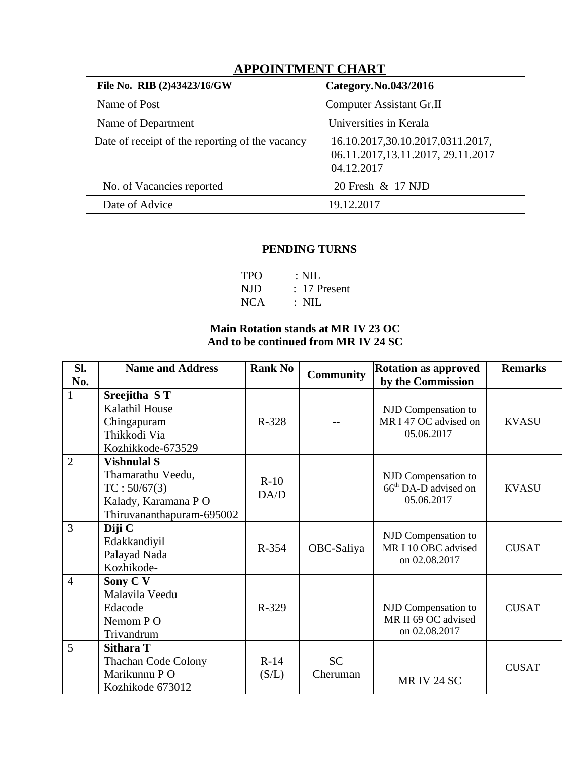| File No. RIB (2)43423/16/GW                     | Category.No.043/2016                                                                 |  |  |  |  |  |
|-------------------------------------------------|--------------------------------------------------------------------------------------|--|--|--|--|--|
| Name of Post                                    | <b>Computer Assistant Gr.II</b>                                                      |  |  |  |  |  |
| Name of Department                              | Universities in Kerala                                                               |  |  |  |  |  |
| Date of receipt of the reporting of the vacancy | 16.10.2017,30.10.2017,0311.2017,<br>06.11.2017, 13.11.2017, 29.11.2017<br>04.12.2017 |  |  |  |  |  |
| No. of Vacancies reported                       | 20 Fresh & 17 NJD                                                                    |  |  |  |  |  |
| Date of Advice                                  | 19.12.2017                                                                           |  |  |  |  |  |
|                                                 |                                                                                      |  |  |  |  |  |

# **APPOINTMENT CHART**

## **PENDING TURNS**

| <b>TPO</b> | $\therefore$ NIL |
|------------|------------------|
| NJD        | $: 17$ Present   |
| NCA        | $\therefore$ NIL |

## **Main Rotation stands at MR IV 23 OC And to be continued from MR IV 24 SC**

| SI.<br>No.     | <b>Name and Address</b>                                                                                     | <b>Rank No</b>  | <b>Community</b>      | <b>Rotation as approved</b><br>by the Commission                      | <b>Remarks</b> |
|----------------|-------------------------------------------------------------------------------------------------------------|-----------------|-----------------------|-----------------------------------------------------------------------|----------------|
| $\mathbf{1}$   | Sreejitha ST<br>Kalathil House<br>Chingapuram<br>Thikkodi Via<br>Kozhikkode-673529                          | $R - 328$       |                       | NJD Compensation to<br>MR I 47 OC advised on<br>05.06.2017            | <b>KVASU</b>   |
| $\overline{2}$ | <b>Vishnulal S</b><br>Thamarathu Veedu,<br>TC: 50/67(3)<br>Kalady, Karamana PO<br>Thiruvananthapuram-695002 | $R-10$<br>DA/D  |                       | NJD Compensation to<br>66 <sup>th</sup> DA-D advised on<br>05.06.2017 | <b>KVASU</b>   |
| $\overline{3}$ | Diji C<br>Edakkandiyil<br>Palayad Nada<br>Kozhikode-                                                        | R-354           | OBC-Saliya            | NJD Compensation to<br>MR I 10 OBC advised<br>on 02.08.2017           | <b>CUSAT</b>   |
| $\overline{4}$ | Sony C V<br>Malavila Veedu<br>Edacode<br>Nemom PO<br>Trivandrum                                             | R-329           |                       | NJD Compensation to<br>MR II 69 OC advised<br>on 02.08.2017           | <b>CUSAT</b>   |
| 5              | Sithara T<br><b>Thachan Code Colony</b><br>Marikunnu PO<br>Kozhikode 673012                                 | $R-14$<br>(S/L) | <b>SC</b><br>Cheruman | MR IV 24 SC                                                           | <b>CUSAT</b>   |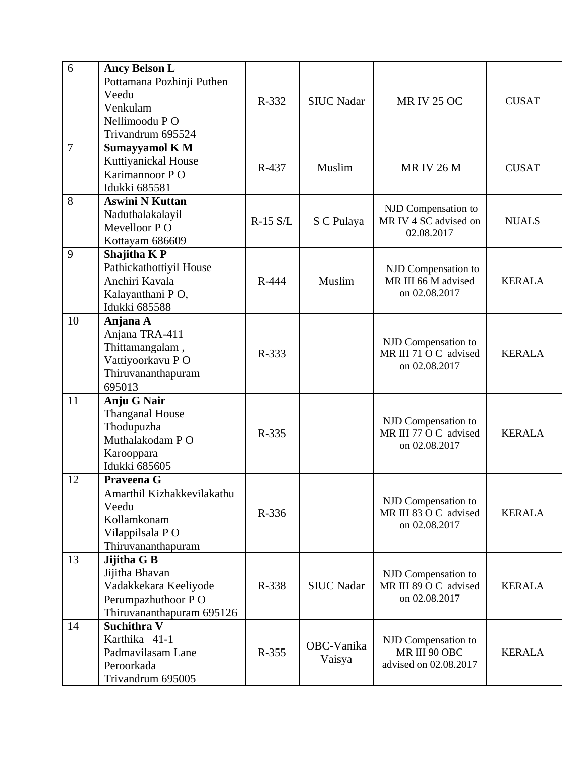| 6              | <b>Ancy Belson L</b><br>Pottamana Pozhinji Puthen<br>Veedu<br>Venkulam<br>Nellimoodu PO<br>Trivandrum 695524 | R-332      | <b>SIUC Nadar</b>    | <b>MR IV 25 OC</b>                                            | <b>CUSAT</b>  |
|----------------|--------------------------------------------------------------------------------------------------------------|------------|----------------------|---------------------------------------------------------------|---------------|
| $\overline{7}$ | <b>Sumayyamol K M</b><br>Kuttiyanickal House<br>Karimannoor PO<br>Idukki 685581                              | R-437      | Muslim               | <b>MRIV 26 M</b>                                              | <b>CUSAT</b>  |
| 8              | <b>Aswini N Kuttan</b><br>Naduthalakalayil<br>Mevelloor PO<br>Kottayam 686609                                | $R-15 S/L$ | S C Pulaya           | NJD Compensation to<br>MR IV 4 SC advised on<br>02.08.2017    | <b>NUALS</b>  |
| 9              | Shajitha K P<br>Pathickathottiyil House<br>Anchiri Kavala<br>Kalayanthani PO,<br><b>Idukki 685588</b>        | R-444      | Muslim               | NJD Compensation to<br>MR III 66 M advised<br>on 02.08.2017   | <b>KERALA</b> |
| 10             | Anjana A<br>Anjana TRA-411<br>Thittamangalam,<br>Vattiyoorkavu PO<br>Thiruvananthapuram<br>695013            | R-333      |                      | NJD Compensation to<br>MR III 71 O C advised<br>on 02.08.2017 | <b>KERALA</b> |
| 11             | Anju G Nair<br><b>Thanganal House</b><br>Thodupuzha<br>Muthalakodam PO<br>Karooppara<br>Idukki 685605        | R-335      |                      | NJD Compensation to<br>MR III 77 O C advised<br>on 02.08.2017 | <b>KERALA</b> |
| 12             | Praveena G<br>Amarthil Kizhakkevilakathu<br>Veedu<br>Kollamkonam<br>Vilappilsala PO<br>Thiruvananthapuram    | R-336      |                      | NJD Compensation to<br>MR III 83 O C advised<br>on 02.08.2017 | <b>KERALA</b> |
| 13             | Jijitha G B<br>Jijitha Bhavan<br>Vadakkekara Keeliyode<br>Perumpazhuthoor PO<br>Thiruvananthapuram 695126    | R-338      | <b>SIUC Nadar</b>    | NJD Compensation to<br>MR III 89 O C advised<br>on 02.08.2017 | <b>KERALA</b> |
| 14             | Suchithra V<br>Karthika 41-1<br>Padmavilasam Lane<br>Peroorkada<br>Trivandrum 695005                         | R-355      | OBC-Vanika<br>Vaisya | NJD Compensation to<br>MR III 90 OBC<br>advised on 02.08.2017 | <b>KERALA</b> |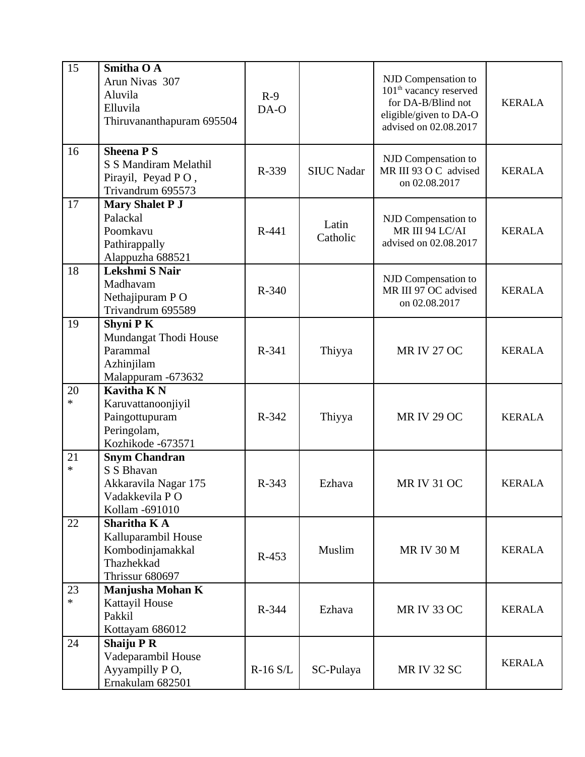| 15           | <b>Smitha O A</b><br>Arun Nivas 307<br>Aluvila<br>Elluvila<br>Thiruvananthapuram 695504        | $R-9$<br>DA-O |                   | NJD Compensation to<br>$101th$ vacancy reserved<br>for DA-B/Blind not<br>eligible/given to DA-O<br>advised on 02.08.2017 | <b>KERALA</b> |
|--------------|------------------------------------------------------------------------------------------------|---------------|-------------------|--------------------------------------------------------------------------------------------------------------------------|---------------|
| 16           | <b>Sheena PS</b><br>S S Mandiram Melathil<br>Pirayil, Peyad PO,<br>Trivandrum 695573           | R-339         | <b>SIUC Nadar</b> | NJD Compensation to<br>MR III 93 O C advised<br>on 02.08.2017                                                            | <b>KERALA</b> |
| 17           | <b>Mary Shalet P J</b><br>Palackal<br>Poomkavu<br>Pathirappally<br>Alappuzha 688521            | R-441         | Latin<br>Catholic | NJD Compensation to<br>MR III 94 LC/AI<br>advised on 02.08.2017                                                          | <b>KERALA</b> |
| 18           | Lekshmi S Nair<br>Madhavam<br>Nethajipuram PO<br>Trivandrum 695589                             | R-340         |                   | NJD Compensation to<br>MR III 97 OC advised<br>on 02.08.2017                                                             | <b>KERALA</b> |
| 19           | <b>Shyni PK</b><br>Mundangat Thodi House<br>Parammal<br>Azhinjilam<br>Malappuram -673632       | R-341         | Thiyya            | <b>MR IV 27 OC</b>                                                                                                       | <b>KERALA</b> |
| 20<br>$\ast$ | <b>Kavitha KN</b><br>Karuvattanoonjiyil<br>Paingottupuram<br>Peringolam,<br>Kozhikode -673571  | R-342         | Thiyya            | <b>MR IV 29 OC</b>                                                                                                       | <b>KERALA</b> |
| 21<br>$\ast$ | <b>Snym Chandran</b><br>S S Bhavan<br>Akkaravila Nagar 175<br>Vadakkevila PO<br>Kollam -691010 | R-343         | Ezhava            | <b>MR IV 31 OC</b>                                                                                                       | <b>KERALA</b> |
| 22           | <b>Sharitha KA</b><br>Kalluparambil House<br>Kombodinjamakkal<br>Thazhekkad<br>Thrissur 680697 | $R-453$       | Muslim            | <b>MR IV 30 M</b>                                                                                                        | <b>KERALA</b> |
| 23<br>$\ast$ | <b>Manjusha Mohan K</b><br>Kattayil House<br>Pakkil<br>Kottayam 686012                         | R-344         | Ezhava            | <b>MR IV 33 OC</b>                                                                                                       | <b>KERALA</b> |
| 24           | <b>Shaiju P R</b><br>Vadeparambil House<br>Ayyampilly PO,<br>Ernakulam 682501                  | R-16 S/L      | SC-Pulaya         | MR IV 32 SC                                                                                                              | <b>KERALA</b> |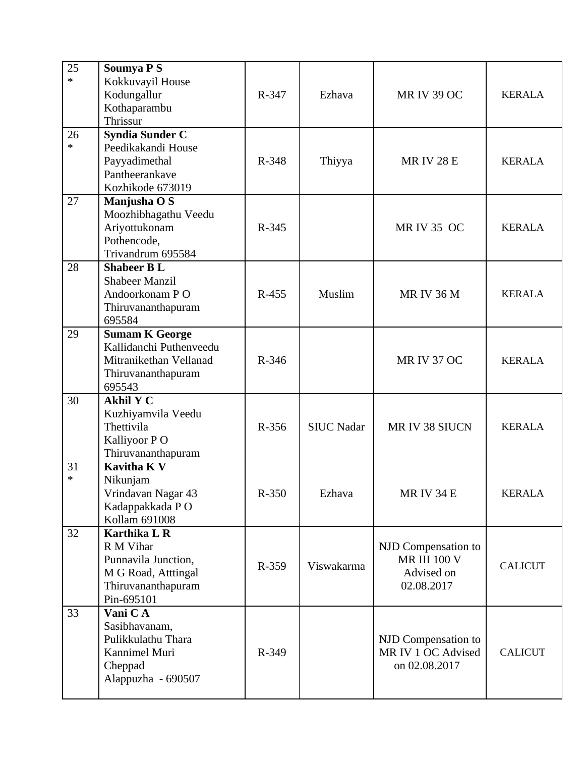| 25<br>$\ast$ | <b>Soumya PS</b><br>Kokkuvayil House<br>Kodungallur<br>Kothaparambu<br>Thrissur                                    | R-347   | Ezhava            | <b>MR IV 39 OC</b>                                                     | <b>KERALA</b>  |
|--------------|--------------------------------------------------------------------------------------------------------------------|---------|-------------------|------------------------------------------------------------------------|----------------|
| 26<br>$\ast$ | <b>Syndia Sunder C</b><br>Peedikakandi House<br>Payyadimethal<br>Pantheerankave<br>Kozhikode 673019                | R-348   | Thiyya            | <b>MRIV 28 E</b>                                                       | <b>KERALA</b>  |
| 27           | Manjusha O S<br>Moozhibhagathu Veedu<br>Ariyottukonam<br>Pothencode,<br>Trivandrum 695584                          | R-345   |                   | <b>MR IV 35 OC</b>                                                     | <b>KERALA</b>  |
| 28           | <b>Shabeer BL</b><br><b>Shabeer Manzil</b><br>Andoorkonam PO<br>Thiruvananthapuram<br>695584                       | R-455   | Muslim            | <b>MR IV 36 M</b>                                                      | <b>KERALA</b>  |
| 29           | <b>Sumam K George</b><br>Kallidanchi Puthenveedu<br>Mitranikethan Vellanad<br>Thiruvananthapuram<br>695543         | R-346   |                   | <b>MR IV 37 OC</b>                                                     | <b>KERALA</b>  |
| 30           | <b>Akhil Y C</b><br>Kuzhiyamvila Veedu<br>Thettivila<br>Kalliyoor P O<br>Thiruvananthapuram                        | R-356   | <b>SIUC Nadar</b> | MR IV 38 SIUCN                                                         | <b>KERALA</b>  |
| 31<br>$\ast$ | <b>Kavitha K V</b><br>Nikunjam<br>Vrindavan Nagar 43<br>Kadappakkada PO<br>Kollam 691008                           | $R-350$ | Ezhava            | <b>MR IV 34 E</b>                                                      | <b>KERALA</b>  |
| 32           | <b>Karthika L R</b><br>R M Vihar<br>Punnavila Junction,<br>M G Road, Atttingal<br>Thiruvananthapuram<br>Pin-695101 | R-359   | Viswakarma        | NJD Compensation to<br><b>MR III 100 V</b><br>Advised on<br>02.08.2017 | <b>CALICUT</b> |
| 33           | Vani CA<br>Sasibhavanam,<br>Pulikkulathu Thara<br>Kannimel Muri<br>Cheppad<br>Alappuzha - 690507                   | R-349   |                   | NJD Compensation to<br>MR IV 1 OC Advised<br>on 02.08.2017             | <b>CALICUT</b> |